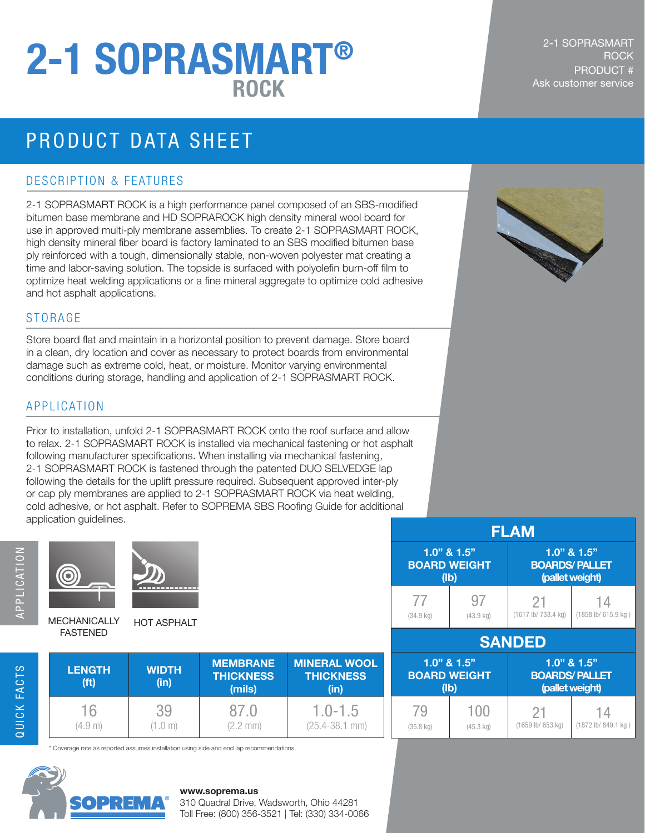# **Ask customer service** and the set of the set of the set of the set of the set of the set of the set of the set of the set of the set of the set of the set of the set of the set of the set of the set of the set of the set 2-1 SOPRASMART®

## PRODUCT DATA SHEET

#### DESCRIPTION & FEATURES

2-1 SOPRASMART ROCK is a high performance panel composed of an SBS-modified bitumen base membrane and HD SOPRAROCK high density mineral wool board for use in approved multi-ply membrane assemblies. To create 2-1 SOPRASMART ROCK, high density mineral fiber board is factory laminated to an SBS modified bitumen base ply reinforced with a tough, dimensionally stable, non-woven polyester mat creating a time and labor-saving solution. The topside is surfaced with polyolefin burn-off film to optimize heat welding applications or a fine mineral aggregate to optimize cold adhesive and hot asphalt applications.

#### STORAGE

Store board flat and maintain in a horizontal position to prevent damage. Store board in a clean, dry location and cover as necessary to protect boards from environmental damage such as extreme cold, heat, or moisture. Monitor varying environmental conditions during storage, handling and application of 2-1 SOPRASMART ROCK.

#### APPLICATION

0

Prior to installation, unfold 2-1 SOPRASMART ROCK onto the roof surface and allow to relax. 2-1 SOPRASMART ROCK is installed via mechanical fastening or hot asphalt following manufacturer specifications. When installing via mechanical fastening, 2-1 SOPRASMART ROCK is fastened through the patented DUO SELVEDGE lap following the details for the uplift pressure required. Subsequent approved inter-ply or cap ply membranes are applied to 2-1 SOPRASMART ROCK via heat welding, cold adhesive, or hot asphalt. Refer to SOPREMA SBS Roofing Guide for additional application guidelines.

QUICK FACTS



MECHANICALLY FASTENED HOT ASPHALT

|                     |                     | <b>FLAM</b>          |                     |  |
|---------------------|---------------------|----------------------|---------------------|--|
| $1.0"$ & $1.5"$     |                     | $1.0$ " & $1.5$ "    |                     |  |
| <b>BOARD WEIGHT</b> |                     | <b>BOARDS/PALLET</b> |                     |  |
| (Ib)                |                     | (pallet weight)      |                     |  |
| 77                  | 97                  | 21                   | 14                  |  |
| (34.9 kg)           | $(43.9 \text{ kg})$ | (1617 lb/ 733.4 kg)  | (1858 lb/ 615.9 kg) |  |
| <b>SANDED</b>       |                     |                      |                     |  |
| $1.0$ " & $1.5$ "   |                     | $1.0$ " & $1.5$ "    |                     |  |
| <b>BOARD WEIGHT</b> |                     | <b>BOARDS/PALLET</b> |                     |  |
| (Ib)                |                     | (pallet weight)      |                     |  |
| 79                  | 100                 | 21                   | 14                  |  |
| $(35.8 \text{ kg})$ | $(45.3 \text{ kg})$ | (1659 lb/ 653 kg)    | (1872 lb/ 849.1 kg) |  |

| <b>LENGTH</b><br>(ft) | <b>WIDTH</b><br>(in) | <b>MEMBRANE</b><br><b>THICKNESS</b><br>(mils) | <b>MINERAL WOOL</b><br><b>THICKNESS</b><br>(in) |
|-----------------------|----------------------|-----------------------------------------------|-------------------------------------------------|
| 16                    | 39                   | 87 O                                          | $1.0 - 1.5$                                     |
| (4.9 m)               | 1.0 m)               | $(2.2 \text{ mm})$                            | $(25.4 - 38.1$ mm)                              |

\* Coverage rate as reported assumes installation using side and end lap recommendations.



#### **www.soprema.us**

310 Quadral Drive, Wadsworth, Ohio 44281 Toll Free: (800) 356-3521 | Tel: (330) 334-0066

#### 2-1 SOPRASMART **ROCK** PRODUCT #